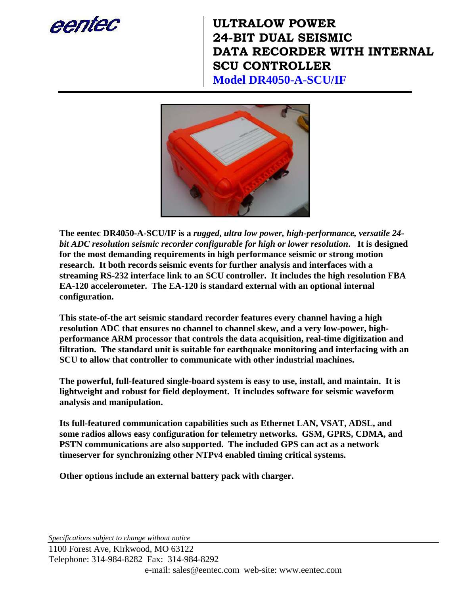

**ULTRALOW POWER 24-BIT DUAL SEISMIC DATA RECORDER WITH INTERNAL SCU CONTROLLER Model DR4050-A-SCU/IF**



**The eentec DR4050-A-SCU/IF is a** *rugged***,** *ultra low power, high-performance, versatile 24 bit ADC resolution seismic recorder configurable for high or lower resolution***. It is designed for the most demanding requirements in high performance seismic or strong motion research. It both records seismic events for further analysis and interfaces with a streaming RS-232 interface link to an SCU controller. It includes the high resolution FBA EA-120 accelerometer. The EA-120 is standard external with an optional internal configuration.** 

**This state-of-the art seismic standard recorder features every channel having a high resolution ADC that ensures no channel to channel skew, and a very low-power, highperformance ARM processor that controls the data acquisition, real-time digitization and filtration. The standard unit is suitable for earthquake monitoring and interfacing with an SCU to allow that controller to communicate with other industrial machines.** 

**The powerful, full-featured single-board system is easy to use, install, and maintain. It is lightweight and robust for field deployment. It includes software for seismic waveform analysis and manipulation.** 

**Its full-featured communication capabilities such as Ethernet LAN, VSAT, ADSL, and some radios allows easy configuration for telemetry networks. GSM, GPRS, CDMA, and PSTN communications are also supported. The included GPS can act as a network timeserver for synchronizing other NTPv4 enabled timing critical systems.** 

**Other options include an external battery pack with charger.** 

*Specifications subject to change without notice*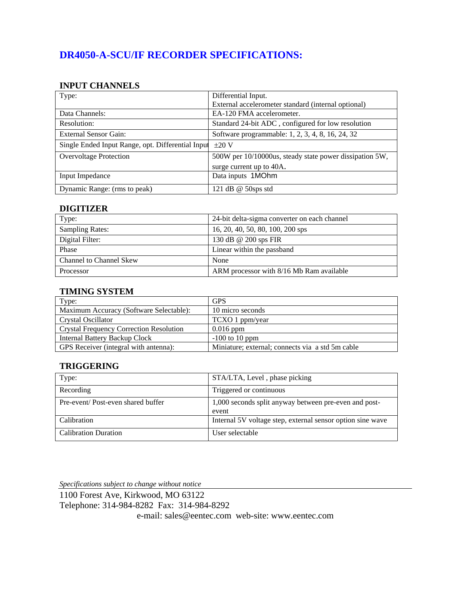# **DR4050-A-SCU/IF RECORDER SPECIFICATIONS:**

#### **INPUT CHANNELS**

| Type:                                             | Differential Input.                                     |
|---------------------------------------------------|---------------------------------------------------------|
|                                                   | External accelerometer standard (internal optional)     |
| Data Channels:                                    | EA-120 FMA accelerometer.                               |
| Resolution:                                       | Standard 24-bit ADC, configured for low resolution      |
| External Sensor Gain:                             | Software programmable: 1, 2, 3, 4, 8, 16, 24, 32        |
| Single Ended Input Range, opt. Differential Input | $+20V$                                                  |
| <b>Overvoltage Protection</b>                     | 500W per 10/10000us, steady state power dissipation 5W, |
|                                                   | surge current up to 40A.                                |
| Input Impedance                                   | Data inputs 1MOhm                                       |
| Dynamic Range: (rms to peak)                      | 121 dB $@$ 50sps std                                    |

#### **DIGITIZER**

| Type:                          | 24-bit delta-sigma converter on each channel |
|--------------------------------|----------------------------------------------|
| <b>Sampling Rates:</b>         | 16, 20, 40, 50, 80, 100, 200 sps             |
| Digital Filter:                | 130 dB @ 200 sps FIR                         |
| Phase                          | Linear within the passband                   |
| <b>Channel to Channel Skew</b> | None                                         |
| Processor                      | ARM processor with 8/16 Mb Ram available     |

#### **TIMING SYSTEM**

| Type:                                          | <b>GPS</b>                                       |
|------------------------------------------------|--------------------------------------------------|
| Maximum Accuracy (Software Selectable):        | 10 micro seconds                                 |
| Crystal Oscillator                             | TCXO 1 ppm/year                                  |
| <b>Crystal Frequency Correction Resolution</b> | $0.016$ ppm                                      |
| <b>Internal Battery Backup Clock</b>           | $-100$ to 10 ppm                                 |
| GPS Receiver (integral with antenna):          | Miniature; external; connects via a std 5m cable |

#### **TRIGGERING**

| Type:                             | STA/LTA, Level, phase picking                                  |
|-----------------------------------|----------------------------------------------------------------|
| Recording                         | Triggered or continuous                                        |
| Pre-event/Post-even shared buffer | 1,000 seconds split anyway between pre-even and post-<br>event |
| Calibration                       | Internal 5V voltage step, external sensor option sine wave     |
| <b>Calibration Duration</b>       | User selectable                                                |

*Specifications subject to change without notice* 1100 Forest Ave, Kirkwood, MO 63122 Telephone: 314-984-8282 Fax: 314-984-8292 e-mail: sales@eentec.com web-site: www.eentec.com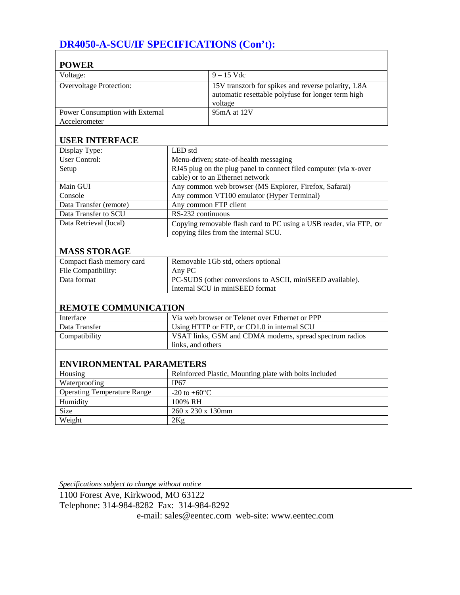# **DR4050-A-SCU/IF SPECIFICATIONS (Con't):**

| <b>POWER</b>                       |                                                        |                                                                                                                      |
|------------------------------------|--------------------------------------------------------|----------------------------------------------------------------------------------------------------------------------|
| Voltage:                           |                                                        | $9 - 15$ Vdc                                                                                                         |
| <b>Overvoltage Protection:</b>     |                                                        | 15V transzorb for spikes and reverse polarity, 1.8A<br>automatic resettable polyfuse for longer term high<br>voltage |
| Power Consumption with External    |                                                        | 95mA at 12V                                                                                                          |
| Accelerometer                      |                                                        |                                                                                                                      |
| <b>USER INTERFACE</b>              |                                                        |                                                                                                                      |
| Display Type:                      | LED std                                                |                                                                                                                      |
| <b>User Control:</b>               |                                                        | Menu-driven; state-of-health messaging                                                                               |
| Setup                              |                                                        | RJ45 plug on the plug panel to connect filed computer (via x-over<br>cable) or to an Ethernet network                |
| Main GUI                           | Any common web browser (MS Explorer, Firefox, Safarai) |                                                                                                                      |
| Console                            | Any common VT100 emulator (Hyper Terminal)             |                                                                                                                      |
| Data Transfer (remote)             |                                                        | Any common FTP client                                                                                                |
| Data Transfer to SCU               | RS-232 continuous                                      |                                                                                                                      |
| Data Retrieval (local)             |                                                        | Copying removable flash card to PC using a USB reader, via FTP, or<br>copying files from the internal SCU.           |
| <b>MASS STORAGE</b>                |                                                        |                                                                                                                      |
| Compact flash memory card          |                                                        | Removable 1Gb std, others optional                                                                                   |
| File Compatibility:                | Any PC                                                 |                                                                                                                      |
| Data format                        |                                                        | PC-SUDS (other conversions to ASCII, miniSEED available).<br>Internal SCU in miniSEED format                         |
| <b>REMOTE COMMUNICATION</b>        |                                                        |                                                                                                                      |
| Interface                          |                                                        | Via web browser or Telenet over Ethernet or PPP                                                                      |
| Data Transfer                      |                                                        | Using HTTP or FTP, or CD1.0 in internal SCU                                                                          |
| Compatibility                      |                                                        | VSAT links, GSM and CDMA modems, spread spectrum radios                                                              |
|                                    | links, and others                                      |                                                                                                                      |
|                                    |                                                        |                                                                                                                      |
| <b>ENVIRONMENTAL PARAMETERS</b>    |                                                        |                                                                                                                      |
| Housing                            |                                                        | Reinforced Plastic, Mounting plate with bolts included                                                               |
| Waterproofing                      | <b>IP67</b>                                            |                                                                                                                      |
| <b>Operating Temperature Range</b> | -20 to $+60^{\circ}$ C                                 |                                                                                                                      |
| Humidity                           | 100% RH                                                |                                                                                                                      |
| Size                               | 260 x 230 x 130mm                                      |                                                                                                                      |
| Weight                             | 2Kg                                                    |                                                                                                                      |

٦

*Specifications subject to change without notice*

1100 Forest Ave, Kirkwood, MO 63122 Telephone: 314-984-8282 Fax: 314-984-8292

e-mail: sales@eentec.com web-site: www.eentec.com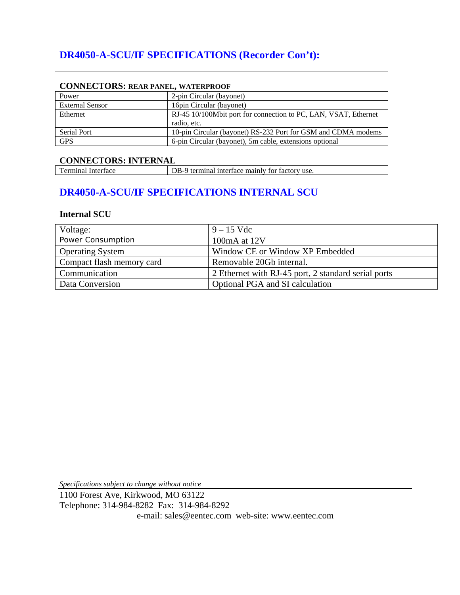# **DR4050-A-SCU/IF SPECIFICATIONS (Recorder Con't):**

| CONNECTORS, REAR FANEL, WATERFROOF |                                                                 |
|------------------------------------|-----------------------------------------------------------------|
| Power                              | 2-pin Circular (bayonet)                                        |
| <b>External Sensor</b>             | 16 pin Circular (bayonet)                                       |
| Ethernet                           | RJ-45 10/100Mbit port for connection to PC, LAN, VSAT, Ethernet |
|                                    | radio, etc.                                                     |
| Serial Port                        | 10-pin Circular (bayonet) RS-232 Port for GSM and CDMA modems   |
| <b>GPS</b>                         | 6-pin Circular (bayonet), 5m cable, extensions optional         |

#### CONNECTORS: **DEAD PANEL, WATERPROOF**

**CONNECTORS: INTERNAL**<br>
Terminal Interface D DB-9 terminal interface mainly for factory use.

### **DR4050-A-SCU/IF SPECIFICATIONS INTERNAL SCU**

#### **Internal SCU**

| Voltage:                  | $9 - 15$ Vdc                                        |
|---------------------------|-----------------------------------------------------|
| Power Consumption         | 100mA at 12V                                        |
| <b>Operating System</b>   | Window CE or Window XP Embedded                     |
| Compact flash memory card | Removable 20Gb internal.                            |
| Communication             | 2 Ethernet with RJ-45 port, 2 standard serial ports |
| Data Conversion           | Optional PGA and SI calculation                     |

*Specifications subject to change without notice*

1100 Forest Ave, Kirkwood, MO 63122 Telephone: 314-984-8282 Fax: 314-984-8292 e-mail: sales@eentec.com web-site: www.eentec.com